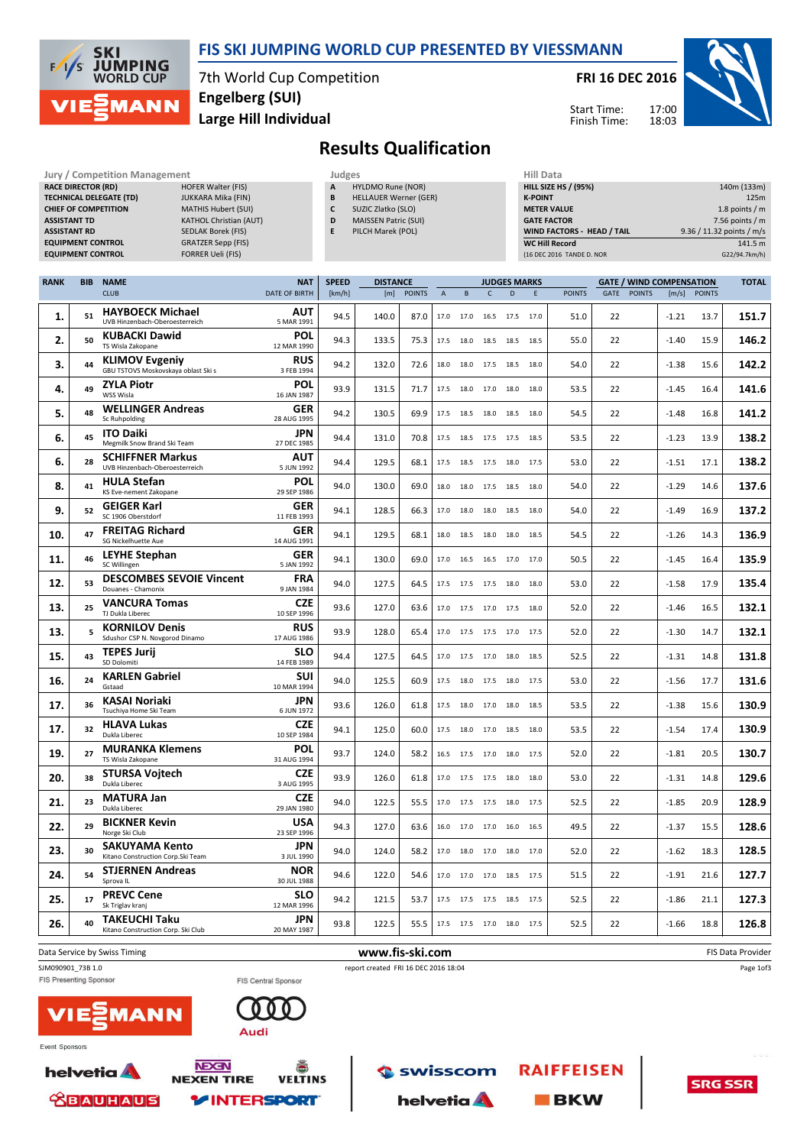

#### FIS SKI JUMPING WORLD CUP PRESENTED BY VIESSMANN

7th World Cup Competition Large Hill Individual Engelberg (SUI)

FRI 16 DEC 2016



Start Time: Finish Time:

# Results Qualification

| Jury / Competition Management  |                               | Judges | <b>Hill Data</b> |                              |  |                    |
|--------------------------------|-------------------------------|--------|------------------|------------------------------|--|--------------------|
| <b>RACE DIRECTOR (RD)</b>      | <b>HOFER Walter (FIS)</b>     |        | A                | <b>HYLDMO Rune (NOR)</b>     |  | <b>HILL SIZE H</b> |
| <b>TECHNICAL DELEGATE (TD)</b> | JUKKARA Mika (FIN)            |        | B                | <b>HELLAUER Werner (GER)</b> |  | <b>K-POINT</b>     |
| <b>CHIEF OF COMPETITION</b>    | <b>MATHIS Hubert (SUI)</b>    |        | c                | SUZIC Zlatko (SLO)           |  | <b>METER VAI</b>   |
| <b>ASSISTANT TD</b>            | <b>KATHOL Christian (AUT)</b> |        | D                | <b>MAISSEN Patric (SUI)</b>  |  | <b>GATE FACT</b>   |
| <b>ASSISTANT RD</b>            | <b>SEDLAK Borek (FIS)</b>     |        | E                | PILCH Marek (POL)            |  | <b>WIND FACT</b>   |
| <b>EQUIPMENT CONTROL</b>       | <b>GRATZER Sepp (FIS)</b>     |        |                  |                              |  | <b>WC Hill Reg</b> |
| <b>EQUIPMENT CONTROL</b>       | <b>FORRER Ueli (FIS)</b>      |        |                  |                              |  | (16 DEC 2016       |

|   | Judges                       |
|---|------------------------------|
| A | HYLDMO Rune (NOR)            |
| B | <b>HELLAUER Werner (GER)</b> |
| C | SUZIC Zlatko (SLO)           |
| D | <b>MAISSEN Patric (SUI)</b>  |
| F | PILCH Marek (POL)            |
|   |                              |

| <b>HILL SIZE HS / (95%)</b>       | 140m (133m)               |
|-----------------------------------|---------------------------|
| <b>K-POINT</b>                    | 125m                      |
| <b>METER VALUE</b>                | 1.8 points $/m$           |
| <b>GATE FACTOR</b>                | 7.56 points $/m$          |
| <b>WIND FACTORS - HEAD / TAIL</b> | 9.36 / 11.32 points / m/s |
| <b>WC Hill Record</b>             | 141.5 m                   |
| (16 DEC 2016 TANDE D. NOR         | G22/94.7km/h)             |

| <b>RANK</b> | <b>BIB</b> | <b>NAME</b>                                                  | <b>NAT</b>                | <b>SPEED</b> | <b>DISTANCE</b> |               |                |                          |                | <b>JUDGES MARKS</b> |      |               | <b>GATE / WIND COMPENSATION</b> |               |         |               | <b>TOTAL</b> |
|-------------|------------|--------------------------------------------------------------|---------------------------|--------------|-----------------|---------------|----------------|--------------------------|----------------|---------------------|------|---------------|---------------------------------|---------------|---------|---------------|--------------|
|             |            | <b>CLUB</b>                                                  | <b>DATE OF BIRTH</b>      | [km/h]       | [m]             | <b>POINTS</b> | $\overline{A}$ | B                        | $\mathsf{C}$   | D                   | E    | <b>POINTS</b> | GATE                            | <b>POINTS</b> | [m/s]   | <b>POINTS</b> |              |
| 1.          | 51         | <b>HAYBOECK Michael</b><br>UVB Hinzenbach-Oberoesterreich    | <b>AUT</b><br>5 MAR 1991  | 94.5         | 140.0           | 87.0          | 17.0           | 17.0                     |                | 16.5 17.5           | 17.0 | 51.0          | 22                              |               | $-1.21$ | 13.7          | 151.7        |
| 2.          | 50         | <b>KUBACKI Dawid</b><br>TS Wisla Zakopane                    | POL<br>12 MAR 1990        | 94.3         | 133.5           | 75.3          | 17.5           | 18.0                     | 18.5           | 18.5                | 18.5 | 55.0          | 22                              |               | $-1.40$ | 15.9          | 146.2        |
| 3.          | 44         | <b>KLIMOV Evgeniy</b><br>GBU TSTOVS Moskovskaya oblast Ski s | <b>RUS</b><br>3 FEB 1994  | 94.2         | 132.0           | 72.6          | 18.0           | 18.0                     | 17.5           | 18.5                | 18.0 | 54.0          | 22                              |               | $-1.38$ | 15.6          | 142.2        |
| 4.          | 49         | <b>ZYLA Piotr</b><br>WSS Wisla                               | POL<br>16 JAN 1987        | 93.9         | 131.5           | 71.7          | 17.5           | 18.0                     | 17.0           | 18.0                | 18.0 | 53.5          | 22                              |               | $-1.45$ | 16.4          | 141.6        |
| 5.          | 48         | <b>WELLINGER Andreas</b><br>Sc Ruhpolding                    | <b>GER</b><br>28 AUG 1995 | 94.2         | 130.5           | 69.9          | 17.5           | 18.5                     | 18.0           | 18.5                | 18.0 | 54.5          | 22                              |               | $-1.48$ | 16.8          | 141.2        |
| 6.          | 45         | <b>ITO Daiki</b><br>Megmilk Snow Brand Ski Team              | <b>JPN</b><br>27 DEC 1985 | 94.4         | 131.0           | 70.8          | 17.5           | 18.5                     | 17.5           | 17.5                | 18.5 | 53.5          | 22                              |               | $-1.23$ | 13.9          | 138.2        |
| 6.          | 28         | <b>SCHIFFNER Markus</b><br>UVB Hinzenbach-Oberoesterreich    | AUT<br>5 JUN 1992         | 94.4         | 129.5           | 68.1          | 17.5           | 18.5                     | 17.5           | 18.0                | 17.5 | 53.0          | 22                              |               | $-1.51$ | 17.1          | 138.2        |
| 8.          | 41         | <b>HULA Stefan</b><br>KS Eve-nement Zakopane                 | POL<br>29 SEP 1986        | 94.0         | 130.0           | 69.0          | 18.0           |                          | 18.0 17.5 18.5 |                     | 18.0 | 54.0          | 22                              |               | $-1.29$ | 14.6          | 137.6        |
| 9.          | 52         | <b>GEIGER Karl</b><br>SC 1906 Oberstdorf                     | <b>GER</b><br>11 FEB 1993 | 94.1         | 128.5           | 66.3          | 17.0           | 18.0                     | 18.0           | 18.5                | 18.0 | 54.0          | 22                              |               | $-1.49$ | 16.9          | 137.2        |
| 10.         | 47         | <b>FREITAG Richard</b><br>SG Nickelhuette Aue                | <b>GER</b><br>14 AUG 1991 | 94.1         | 129.5           | 68.1          | 18.0           | 18.5                     | 18.0           | 18.0                | 18.5 | 54.5          | 22                              |               | $-1.26$ | 14.3          | 136.9        |
| 11.         | 46         | <b>LEYHE Stephan</b><br>SC Willingen                         | <b>GER</b><br>5 JAN 1992  | 94.1         | 130.0           | 69.0          | 17.0           | 16.5                     | 16.5           | 17.0                | 17.0 | 50.5          | 22                              |               | $-1.45$ | 16.4          | 135.9        |
| 12.         | 53         | <b>DESCOMBES SEVOIE Vincent</b><br>Douanes - Chamonix        | <b>FRA</b><br>9 JAN 1984  | 94.0         | 127.5           | 64.5          | 17.5           | 17.5 17.5 18.0           |                |                     | 18.0 | 53.0          | 22                              |               | $-1.58$ | 17.9          | 135.4        |
| 13.         | 25         | <b>VANCURA Tomas</b><br>TJ Dukla Liberec                     | <b>CZE</b><br>10 SEP 1996 | 93.6         | 127.0           | 63.6          | 17.0           | 17.5                     | 17.0 17.5      |                     | 18.0 | 52.0          | 22                              |               | $-1.46$ | 16.5          | 132.1        |
| 13.         | 5          | <b>KORNILOV Denis</b><br>Sdushor CSP N. Novgorod Dinamo      | <b>RUS</b><br>17 AUG 1986 | 93.9         | 128.0           | 65.4          | 17.0           | 17.5                     | 17.5           | 17.0                | 17.5 | 52.0          | 22                              |               | $-1.30$ | 14.7          | 132.1        |
| 15.         | 43         | <b>TEPES Jurij</b><br>SD Dolomiti                            | <b>SLO</b><br>14 FEB 1989 | 94.4         | 127.5           | 64.5          | 17.0           | 17.5                     | 17.0           | 18.0                | 18.5 | 52.5          | 22                              |               | $-1.31$ | 14.8          | 131.8        |
| 16.         | 24         | <b>KARLEN Gabriel</b><br>Gstaad                              | <b>SUI</b><br>10 MAR 1994 | 94.0         | 125.5           | 60.9          | 17.5           | 18.0                     | 17.5 18.0      |                     | 17.5 | 53.0          | 22                              |               | $-1.56$ | 17.7          | 131.6        |
| 17.         | 36         | KASAI Noriaki<br>Tsuchiya Home Ski Team                      | <b>JPN</b><br>6 JUN 1972  | 93.6         | 126.0           | 61.8          | 17.5           | 18.0                     | 17.0           | 18.0                | 18.5 | 53.5          | 22                              |               | $-1.38$ | 15.6          | 130.9        |
| 17.         | 32         | <b>HLAVA Lukas</b><br>Dukla Liberec                          | <b>CZE</b><br>10 SEP 1984 | 94.1         | 125.0           | 60.0          | 17.5           | 18.0                     | 17.0           | 18.5                | 18.0 | 53.5          | 22                              |               | $-1.54$ | 17.4          | 130.9        |
| 19.         | 27         | <b>MURANKA Klemens</b><br>TS Wisla Zakopane                  | POL<br>31 AUG 1994        | 93.7         | 124.0           | 58.2          | 16.5           | 17.5 17.0 18.0           |                |                     | 17.5 | 52.0          | 22                              |               | $-1.81$ | 20.5          | 130.7        |
| 20.         | 38         | <b>STURSA Vojtech</b><br>Dukla Liberec                       | <b>CZE</b><br>3 AUG 1995  | 93.9         | 126.0           | 61.8          | 17.0           | 17.5                     | 17.5           | 18.0                | 18.0 | 53.0          | 22                              |               | $-1.31$ | 14.8          | 129.6        |
| 21.         | 23         | <b>MATURA Jan</b><br>Dukla Liberec                           | <b>CZE</b><br>29 JAN 1980 | 94.0         | 122.5           | 55.5          | 17.0           | 17.5                     | 17.5           | 18.0                | 17.5 | 52.5          | 22                              |               | $-1.85$ | 20.9          | 128.9        |
| 22.         | 29         | <b>BICKNER Kevin</b><br>Norge Ski Club                       | <b>USA</b><br>23 SEP 1996 | 94.3         | 127.0           | 63.6          | 16.0           | 17.0                     | 17.0           | 16.0                | 16.5 | 49.5          | 22                              |               | $-1.37$ | 15.5          | 128.6        |
| 23.         | 30         | <b>SAKUYAMA Kento</b><br>Kitano Construction Corp.Ski Team   | <b>JPN</b><br>3 JUL 1990  | 94.0         | 124.0           | 58.2          | 17.0           | 18.0                     | 17.0 18.0      |                     | 17.0 | 52.0          | 22                              |               | $-1.62$ | 18.3          | 128.5        |
| 24.         | 54         | <b>STJERNEN Andreas</b><br>Sprova IL                         | <b>NOR</b><br>30 JUL 1988 | 94.6         | 122.0           | 54.6          | 17.0           | 17.0                     | 17.0           | 18.5                | 17.5 | 51.5          | 22                              |               | $-1.91$ | 21.6          | 127.7        |
| 25.         | 17         | <b>PREVC Cene</b><br>Sk Triglav kranj                        | SLO<br>12 MAR 1996        | 94.2         | 121.5           | 53.7          | 17.5           | 17.5                     | 17.5           | 18.5                | 17.5 | 52.5          | 22                              |               | $-1.86$ | 21.1          | 127.3        |
| 26.         | 40         | <b>TAKEUCHI Taku</b><br>Kitano Construction Corp. Ski Club   | <b>JPN</b><br>20 MAY 1987 | 93.8         | 122.5           | 55.5          |                | 17.5 17.5 17.0 18.0 17.5 |                |                     |      | 52.5          | 22                              |               | $-1.66$ | 18.8          | 126.8        |
|             |            |                                                              |                           |              |                 |               |                |                          |                |                     |      |               |                                 |               |         |               |              |

Data Service by Swiss Timing **EXECUTE:** The Service of Australian Service of Australian Service of Australian Service of Australian Service of Australian Service of Australian Service of Australian Service of Australian Se SJM090901\_73B 1.0 report created FRI 16 DEC 2016 18:04 Page 1of3 FIS Presenting Sponsor FIS Central Sponsor  $\Omega$ **AANI** Audi





ă

**VELTINS** 

**helvetia NEXEN TIRE ABAUHAUS Y INTERSPORT** 



**RAIFFEISEN** 

**BKW** 

**SRG SSR**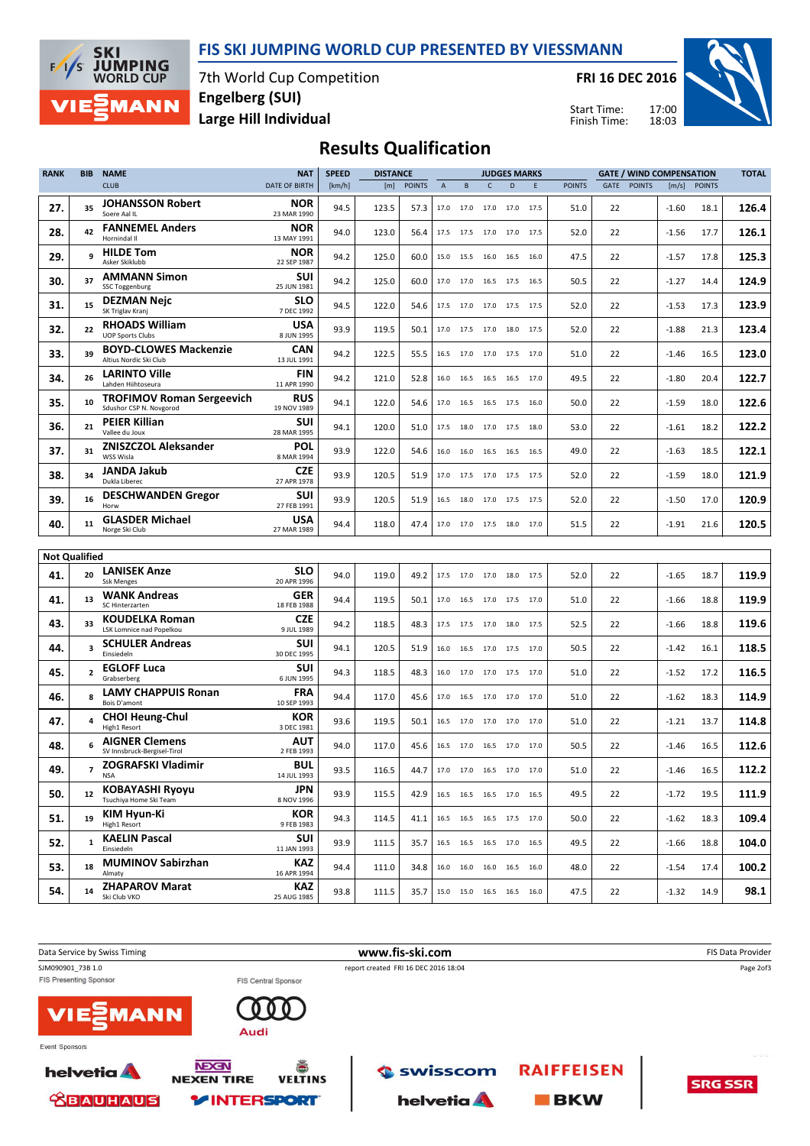



7th World Cup Competition Large Hill Individual Engelberg (SUI)

FRI 16 DEC 2016

Start Time: Finish Time:



### Results Qualification

| <b>RANK</b>          | <b>BIB</b>     | <b>NAME</b>                                                 | <b>NAT</b>                | <b>SPEED</b> | <b>DISTANCE</b> |               |                           |           |      | <b>JUDGES MARKS</b>          |    |               |             |               | <b>GATE / WIND COMPENSATION</b> |               | <b>TOTAL</b> |
|----------------------|----------------|-------------------------------------------------------------|---------------------------|--------------|-----------------|---------------|---------------------------|-----------|------|------------------------------|----|---------------|-------------|---------------|---------------------------------|---------------|--------------|
|                      |                | <b>CLUB</b>                                                 | <b>DATE OF BIRTH</b>      | [km/h]       | [m]             | <b>POINTS</b> | $\boldsymbol{\mathsf{A}}$ | B         | C    | $\mathsf{D}$                 | E. | <b>POINTS</b> | <b>GATE</b> | <b>POINTS</b> | [m/s]                           | <b>POINTS</b> |              |
| 27.                  | 35             | <b>JOHANSSON Robert</b><br>Soere Aal IL                     | NOR<br>23 MAR 1990        | 94.5         | 123.5           | 57.3          | 17.0                      | 17.0 17.0 |      | 17.0 17.5                    |    | 51.0          | 22          |               | $-1.60$                         | 18.1          | 126.4        |
| 28.                  | 42             | <b>FANNEMEL Anders</b><br>Hornindal II                      | <b>NOR</b><br>13 MAY 1991 | 94.0         | 123.0           | 56.4          | 17.5                      | 17.5 17.0 |      | 17.0 17.5                    |    | 52.0          | 22          |               | $-1.56$                         | 17.7          | 126.1        |
| 29.                  | 9              | <b>HILDE Tom</b><br>Asker Skiklubb                          | <b>NOR</b><br>22 SEP 1987 | 94.2         | 125.0           | 60.0          | 15.0                      | 15.5      | 16.0 | 16.5 16.0                    |    | 47.5          | 22          |               | $-1.57$                         | 17.8          | 125.3        |
| 30.                  | 37             | <b>AMMANN Simon</b><br>SSC Toggenburg                       | SUI<br>25 JUN 1981        | 94.2         | 125.0           | 60.0          | 17.0                      | 17.0      | 16.5 | 17.5 16.5                    |    | 50.5          | 22          |               | $-1.27$                         | 14.4          | 124.9        |
| 31.                  | 15             | <b>DEZMAN Nejc</b><br>SK Triglav Kranj                      | <b>SLO</b><br>7 DEC 1992  | 94.5         | 122.0           | 54.6          | 17.5                      | 17.0      |      | 17.0 17.5 17.5               |    | 52.0          | 22          |               | $-1.53$                         | 17.3          | 123.9        |
| 32.                  | 22             | <b>RHOADS William</b><br><b>UOP Sports Clubs</b>            | USA<br>8 JUN 1995         | 93.9         | 119.5           | 50.1          | 17.0                      | 17.5      | 17.0 | 18.0 17.5                    |    | 52.0          | 22          |               | $-1.88$                         | 21.3          | 123.4        |
| 33.                  | 39             | <b>BOYD-CLOWES Mackenzie</b><br>Altius Nordic Ski Club      | <b>CAN</b><br>13 JUL 1991 | 94.2         | 122.5           | 55.5          |                           |           |      | 16.5 17.0 17.0 17.5 17.0     |    | 51.0          | 22          |               | $-1.46$                         | 16.5          | 123.0        |
| 34.                  | 26             | <b>LARINTO Ville</b><br>Lahden Hiihtoseura                  | <b>FIN</b><br>11 APR 1990 | 94.2         | 121.0           | 52.8          | 16.0                      | 16.5      | 16.5 | 16.5 17.0                    |    | 49.5          | 22          |               | $-1.80$                         | 20.4          | 122.7        |
| 35.                  | 10             | <b>TROFIMOV Roman Sergeevich</b><br>Sdushor CSP N. Novgorod | <b>RUS</b><br>19 NOV 1989 | 94.1         | 122.0           | 54.6          |                           |           |      | 17.0  16.5  16.5  17.5  16.0 |    | 50.0          | 22          |               | $-1.59$                         | 18.0          | 122.6        |
| 36.                  | 21             | <b>PEIER Killian</b><br>Vallee du Joux                      | SUI<br>28 MAR 1995        | 94.1         | 120.0           | 51.0          | 17.5                      | 18.0      | 17.0 | 17.5 18.0                    |    | 53.0          | 22          |               | $-1.61$                         | 18.2          | 122.2        |
| 37.                  | 31             | <b>ZNISZCZOL Aleksander</b><br>WSS Wisla                    | POL<br>8 MAR 1994         | 93.9         | 122.0           | 54.6          | 16.0                      |           |      | 16.0 16.5 16.5 16.5          |    | 49.0          | 22          |               | $-1.63$                         | 18.5          | 122.1        |
| 38.                  | 34             | JANDA Jakub<br>Dukla Liberec                                | CZE<br>27 APR 1978        | 93.9         | 120.5           | 51.9          | 17.0                      | 17.5      | 17.0 | 17.5 17.5                    |    | 52.0          | 22          |               | $-1.59$                         | 18.0          | 121.9        |
| 39.                  | 16             | <b>DESCHWANDEN Gregor</b><br>Horw                           | SUI<br>27 FEB 1991        | 93.9         | 120.5           | 51.9          | 16.5                      |           |      | 18.0 17.0 17.5 17.5          |    | 52.0          | 22          |               | $-1.50$                         | 17.0          | 120.9        |
| 40.                  | 11             | <b>GLASDER Michael</b><br>Norge Ski Club                    | USA<br>27 MAR 1989        | 94.4         | 118.0           | 47.4          | 17.0                      |           |      | 17.0 17.5 18.0 17.0          |    | 51.5          | 22          |               | $-1.91$                         | 21.6          | 120.5        |
| <b>Not Qualified</b> |                |                                                             |                           |              |                 |               |                           |           |      |                              |    |               |             |               |                                 |               |              |
| 41.                  | 20             | <b>LANISEK Anze</b><br><b>Ssk Menges</b>                    | <b>SLO</b><br>20 APR 1996 | 94.0         | 119.0           | 49.2          | 17.5                      |           |      | 17.0 17.0 18.0 17.5          |    | 52.0          | 22          |               | $-1.65$                         | 18.7          | 119.9        |
| 41.                  | 13             | <b>WANK Andreas</b><br>SC Hinterzarten                      | GER<br>18 FEB 1988        | 94.4         | 119.5           | 50.1          | 17.0                      |           |      | 16.5 17.0 17.5 17.0          |    | 51.0          | 22          |               | $-1.66$                         | 18.8          | 119.9        |
| 43.                  | 33             | <b>KOUDELKA Roman</b><br>LSK Lomnice nad Popelkou           | CZE<br>9 JUL 1989         | 94.2         | 118.5           | 48.3          | 17.5                      | 17.5      | 17.0 | 18.0 17.5                    |    | 52.5          | 22          |               | $-1.66$                         | 18.8          | 119.6        |
| 44.                  | 3              | <b>SCHULER Andreas</b><br>Einsiedeln                        | SUI<br>30 DEC 1995        | 94.1         | 120.5           | 51.9          | 16.0                      | 16.5      |      | 17.0 17.5 17.0               |    | 50.5          | 22          |               | $-1.42$                         | 16.1          | 118.5        |
| 45.                  | $\overline{2}$ | <b>EGLOFF Luca</b><br>Grabserberg                           | SUI<br>6 JUN 1995         | 94.3         | 118.5           | 48.3          | 16.0                      | 17.0      | 17.0 | 17.5 17.0                    |    | 51.0          | 22          |               | $-1.52$                         | 17.2          | 116.5        |
| 46.                  | 8              | <b>LAMY CHAPPUIS Ronan</b><br>Bois D'amont                  | <b>FRA</b><br>10 SEP 1993 | 94.4         | 117.0           | 45.6          | 17.0                      | 16.5      | 17.0 | 17.0 17.0                    |    | 51.0          | 22          |               | $-1.62$                         | 18.3          | 114.9        |
| 47.                  | $\overline{a}$ | <b>CHOI Heung-Chul</b><br>High1 Resort                      | <b>KOR</b><br>3 DEC 1981  | 93.6         | 119.5           | 50.1          | 16.5                      | 17.0      | 17.0 | 17.0 17.0                    |    | 51.0          | 22          |               | $-1.21$                         | 13.7          | 114.8        |
| 48.                  | 6              | <b>AIGNER Clemens</b><br>SV Innsbruck-Bergisel-Tirol        | AUT<br>2 FEB 1993         | 94.0         | 117.0           | 45.6          | 16.5                      | 17.0      | 16.5 | 17.0 17.0                    |    | 50.5          | 22          |               | $-1.46$                         | 16.5          | 112.6        |
| 49.                  | $\overline{7}$ | <b>ZOGRAFSKI Vladimir</b>                                   | BUL<br>14 JUL 1993        | 93.5         | 116.5           | 44.7          |                           |           |      | 17.0 17.0 16.5 17.0 17.0     |    | 51.0          | 22          |               | $-1.46$                         | 16.5          | 112.2        |
| 50.                  | 12             | <b>KOBAYASHI Ryoyu</b><br>Tsuchiva Home Ski Team            | <b>JPN</b><br>8 NOV 1996  | 93.9         | 115.5           | 42.9          |                           |           |      | 16.5 16.5 16.5 17.0 16.5     |    | 49.5          | 22          |               | $-1.72$                         | 19.5          | 111.9        |
| 51.                  | 19             | KIM Hyun-Ki<br>High1 Resort                                 | <b>KOR</b><br>9 FEB 1983  | 94.3         | 114.5           | 41.1          |                           |           |      | 16.5 16.5 16.5 17.5 17.0     |    | 50.0          | 22          |               | $-1.62$                         | 18.3          | 109.4        |
| 52.                  | $\mathbf{1}$   | <b>KAELIN Pascal</b><br>Einsiedeln                          | <b>SUI</b><br>11 JAN 1993 | 93.9         | 111.5           | 35.7          |                           |           |      | 16.5 16.5 16.5 17.0 16.5     |    | 49.5          | 22          |               | $-1.66$                         | 18.8          | 104.0        |
| 53.                  | 18             | <b>MUMINOV Sabirzhan</b><br>Almaty                          | <b>KAZ</b><br>16 APR 1994 | 94.4         | 111.0           | 34.8          |                           |           |      | 16.0 16.0 16.0 16.5 16.0     |    | 48.0          | 22          |               | $-1.54$                         | 17.4          | 100.2        |
| 54.                  | 14             | <b>ZHAPAROV Marat</b><br>Ski Club VKO                       | KAZ<br>25 AUG 1985        | 93.8         | 111.5           | 35.7          |                           |           |      | 15.0 15.0 16.5 16.5 16.0     |    | 47.5          | 22          |               | $-1.32$                         | 14.9          | 98.1         |